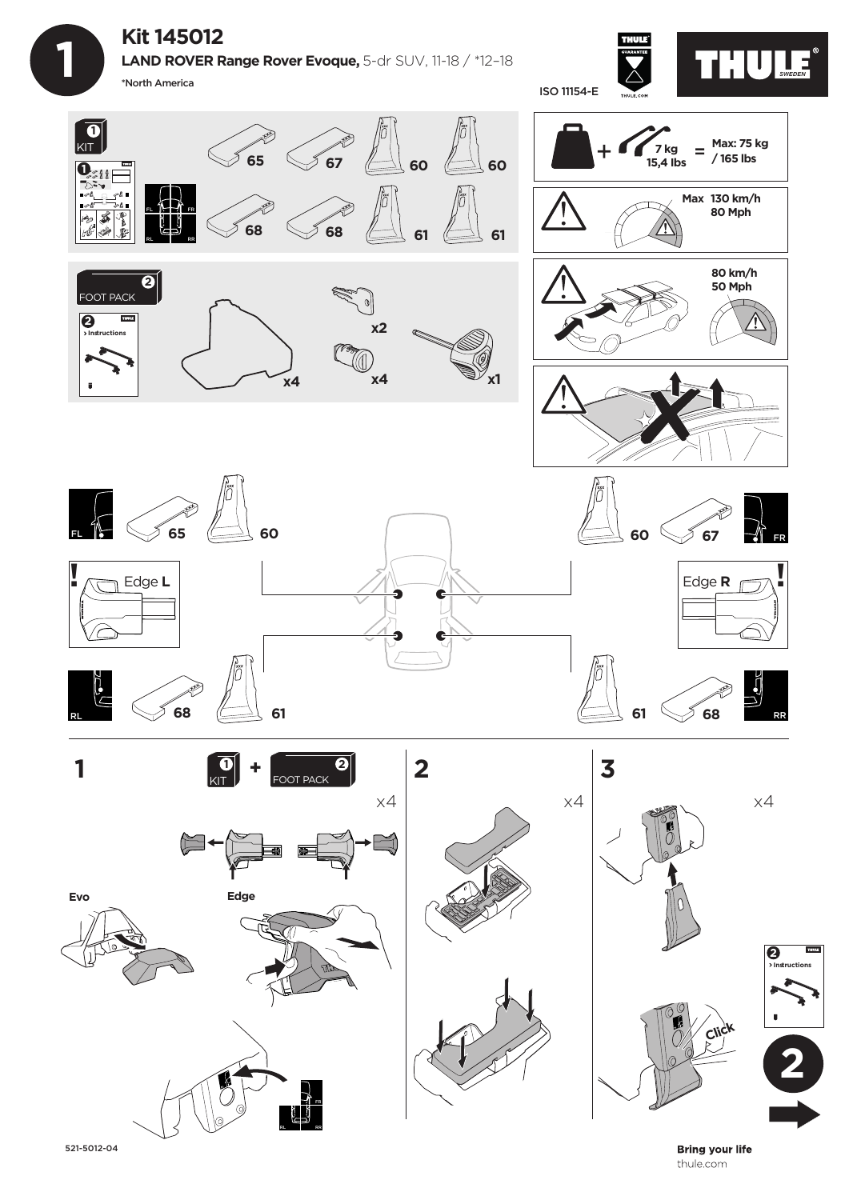**Kit 145012**

**LAND ROVER Range Rover Evoque,** 5-dr SUV, 11-18 / \*12–18





521-5012-04

RL RR

**Bring your life** thule.com

10003